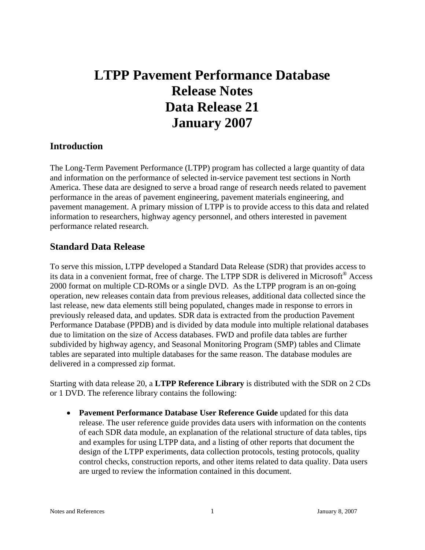# **LTPP Pavement Performance Database Release Notes Data Release 21 January 2007**

# **Introduction**

The Long-Term Pavement Performance (LTPP) program has collected a large quantity of data and information on the performance of selected in-service pavement test sections in North America. These data are designed to serve a broad range of research needs related to pavement performance in the areas of pavement engineering, pavement materials engineering, and pavement management. A primary mission of LTPP is to provide access to this data and related information to researchers, highway agency personnel, and others interested in pavement performance related research.

# **Standard Data Release**

To serve this mission, LTPP developed a Standard Data Release (SDR) that provides access to its data in a convenient format, free of charge. The LTPP SDR is delivered in Microsoft® Access 2000 format on multiple CD-ROMs or a single DVD. As the LTPP program is an on-going operation, new releases contain data from previous releases, additional data collected since the last release, new data elements still being populated, changes made in response to errors in previously released data, and updates. SDR data is extracted from the production Pavement Performance Database (PPDB) and is divided by data module into multiple relational databases due to limitation on the size of Access databases. FWD and profile data tables are further subdivided by highway agency, and Seasonal Monitoring Program (SMP) tables and Climate tables are separated into multiple databases for the same reason. The database modules are delivered in a compressed zip format.

Starting with data release 20, a **LTPP Reference Library** is distributed with the SDR on 2 CDs or 1 DVD. The reference library contains the following:

• **Pavement Performance Database User Reference Guide** updated for this data release. The user reference guide provides data users with information on the contents of each SDR data module, an explanation of the relational structure of data tables, tips and examples for using LTPP data, and a listing of other reports that document the design of the LTPP experiments, data collection protocols, testing protocols, quality control checks, construction reports, and other items related to data quality. Data users are urged to review the information contained in this document.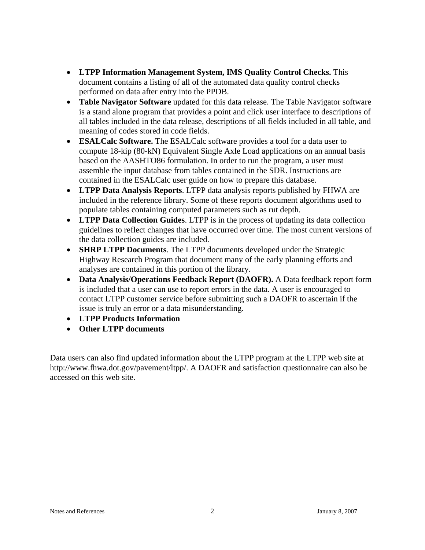- **LTPP Information Management System, IMS Quality Control Checks.** This document contains a listing of all of the automated data quality control checks performed on data after entry into the PPDB.
- **Table Navigator Software** updated for this data release. The Table Navigator software is a stand alone program that provides a point and click user interface to descriptions of all tables included in the data release, descriptions of all fields included in all table, and meaning of codes stored in code fields.
- **ESALCalc Software.** The ESALCalc software provides a tool for a data user to compute 18-kip (80-kN) Equivalent Single Axle Load applications on an annual basis based on the AASHTO86 formulation. In order to run the program, a user must assemble the input database from tables contained in the SDR. Instructions are contained in the ESALCalc user guide on how to prepare this database.
- **LTPP Data Analysis Reports**. LTPP data analysis reports published by FHWA are included in the reference library. Some of these reports document algorithms used to populate tables containing computed parameters such as rut depth.
- **LTPP Data Collection Guides**. LTPP is in the process of updating its data collection guidelines to reflect changes that have occurred over time. The most current versions of the data collection guides are included.
- **SHRP LTPP Documents**. The LTPP documents developed under the Strategic Highway Research Program that document many of the early planning efforts and analyses are contained in this portion of the library.
- **Data Analysis/Operations Feedback Report (DAOFR).** A Data feedback report form is included that a user can use to report errors in the data. A user is encouraged to contact LTPP customer service before submitting such a DAOFR to ascertain if the issue is truly an error or a data misunderstanding.
- **LTPP Products Information**
- **Other LTPP documents**

Data users can also find updated information about the LTPP program at the LTPP web site at http://www.fhwa.dot.gov/pavement/ltpp/. A DAOFR and satisfaction questionnaire can also be accessed on this web site.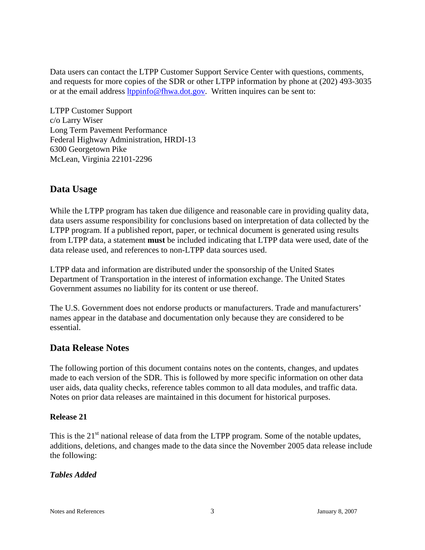Data users can contact the LTPP Customer Support Service Center with questions, comments, and requests for more copies of the SDR or other LTPP information by phone at (202) 493-3035 or at the email address ltppinfo@fhwa.dot.gov. Written inquires can be sent to:

LTPP Customer Support c/o Larry Wiser Long Term Pavement Performance Federal Highway Administration, HRDI-13 6300 Georgetown Pike McLean, Virginia 22101-2296

# **Data Usage**

While the LTPP program has taken due diligence and reasonable care in providing quality data, data users assume responsibility for conclusions based on interpretation of data collected by the LTPP program. If a published report, paper, or technical document is generated using results from LTPP data, a statement **must** be included indicating that LTPP data were used, date of the data release used, and references to non-LTPP data sources used.

LTPP data and information are distributed under the sponsorship of the United States Department of Transportation in the interest of information exchange. The United States Government assumes no liability for its content or use thereof.

The U.S. Government does not endorse products or manufacturers. Trade and manufacturers' names appear in the database and documentation only because they are considered to be essential.

# **Data Release Notes**

The following portion of this document contains notes on the contents, changes, and updates made to each version of the SDR. This is followed by more specific information on other data user aids, data quality checks, reference tables common to all data modules, and traffic data. Notes on prior data releases are maintained in this document for historical purposes.

## **Release 21**

This is the  $21<sup>st</sup>$  national release of data from the LTPP program. Some of the notable updates, additions, deletions, and changes made to the data since the November 2005 data release include the following:

## *Tables Added*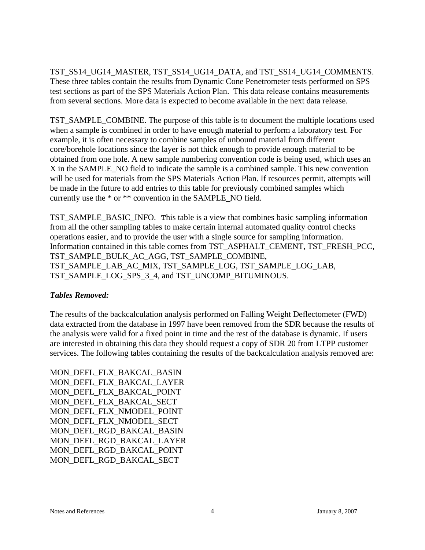TST\_SS14\_UG14\_MASTER, TST\_SS14\_UG14\_DATA, and TST\_SS14\_UG14\_COMMENTS. These three tables contain the results from Dynamic Cone Penetrometer tests performed on SPS test sections as part of the SPS Materials Action Plan. This data release contains measurements from several sections. More data is expected to become available in the next data release.

TST\_SAMPLE\_COMBINE. The purpose of this table is to document the multiple locations used when a sample is combined in order to have enough material to perform a laboratory test. For example, it is often necessary to combine samples of unbound material from different core/borehole locations since the layer is not thick enough to provide enough material to be obtained from one hole. A new sample numbering convention code is being used, which uses an X in the SAMPLE\_NO field to indicate the sample is a combined sample. This new convention will be used for materials from the SPS Materials Action Plan. If resources permit, attempts will be made in the future to add entries to this table for previously combined samples which currently use the \* or \*\* convention in the SAMPLE\_NO field.

TST\_SAMPLE\_BASIC\_INFO. This table is a view that combines basic sampling information from all the other sampling tables to make certain internal automated quality control checks operations easier, and to provide the user with a single source for sampling information. Information contained in this table comes from TST\_ASPHALT\_CEMENT, TST\_FRESH\_PCC, TST\_SAMPLE\_BULK\_AC\_AGG, TST\_SAMPLE\_COMBINE, TST\_SAMPLE\_LAB\_AC\_MIX, TST\_SAMPLE\_LOG, TST\_SAMPLE\_LOG\_LAB, TST\_SAMPLE\_LOG\_SPS\_3\_4, and TST\_UNCOMP\_BITUMINOUS.

## *Tables Removed:*

The results of the backcalculation analysis performed on Falling Weight Deflectometer (FWD) data extracted from the database in 1997 have been removed from the SDR because the results of the analysis were valid for a fixed point in time and the rest of the database is dynamic. If users are interested in obtaining this data they should request a copy of SDR 20 from LTPP customer services. The following tables containing the results of the backcalculation analysis removed are:

MON\_DEFL\_FLX\_BAKCAL\_BASIN MON\_DEFL\_FLX\_BAKCAL\_LAYER MON\_DEFL\_FLX\_BAKCAL\_POINT MON\_DEFL\_FLX\_BAKCAL\_SECT MON\_DEFL\_FLX\_NMODEL\_POINT MON DEFL\_FLX\_NMODEL\_SECT MON\_DEFL\_RGD\_BAKCAL\_BASIN MON\_DEFL\_RGD\_BAKCAL\_LAYER MON\_DEFL\_RGD\_BAKCAL\_POINT MON\_DEFL\_RGD\_BAKCAL\_SECT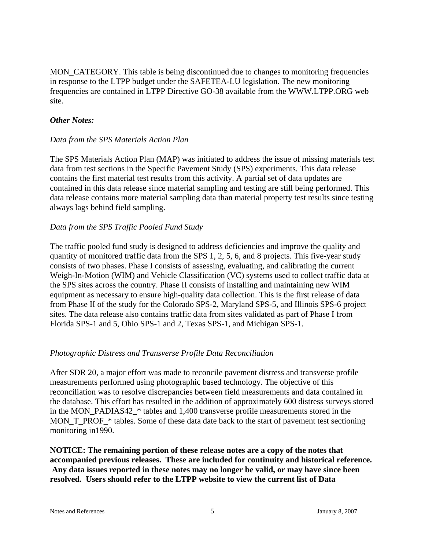MON\_CATEGORY. This table is being discontinued due to changes to monitoring frequencies in response to the LTPP budget under the SAFETEA-LU legislation. The new monitoring frequencies are contained in LTPP Directive GO-38 available from the WWW.LTPP.ORG web site.

#### *Other Notes:*

#### *Data from the SPS Materials Action Plan*

The SPS Materials Action Plan (MAP) was initiated to address the issue of missing materials test data from test sections in the Specific Pavement Study (SPS) experiments. This data release contains the first material test results from this activity. A partial set of data updates are contained in this data release since material sampling and testing are still being performed. This data release contains more material sampling data than material property test results since testing always lags behind field sampling.

#### *Data from the SPS Traffic Pooled Fund Study*

The traffic pooled fund study is designed to address deficiencies and improve the quality and quantity of monitored traffic data from the SPS 1, 2, 5, 6, and 8 projects. This five-year study consists of two phases. Phase I consists of assessing, evaluating, and calibrating the current Weigh-In-Motion (WIM) and Vehicle Classification (VC) systems used to collect traffic data at the SPS sites across the country. Phase II consists of installing and maintaining new WIM equipment as necessary to ensure high-quality data collection. This is the first release of data from Phase II of the study for the Colorado SPS-2, Maryland SPS-5, and Illinois SPS-6 project sites. The data release also contains traffic data from sites validated as part of Phase I from Florida SPS-1 and 5, Ohio SPS-1 and 2, Texas SPS-1, and Michigan SPS-1.

#### *Photographic Distress and Transverse Profile Data Reconciliation*

After SDR 20, a major effort was made to reconcile pavement distress and transverse profile measurements performed using photographic based technology. The objective of this reconciliation was to resolve discrepancies between field measurements and data contained in the database. This effort has resulted in the addition of approximately 600 distress surveys stored in the MON\_PADIAS42\_\* tables and 1,400 transverse profile measurements stored in the MON T\_PROF\_\* tables. Some of these data date back to the start of pavement test sectioning monitoring in1990.

**NOTICE: The remaining portion of these release notes are a copy of the notes that accompanied previous releases. These are included for continuity and historical reference. Any data issues reported in these notes may no longer be valid, or may have since been resolved. Users should refer to the LTPP website to view the current list of Data**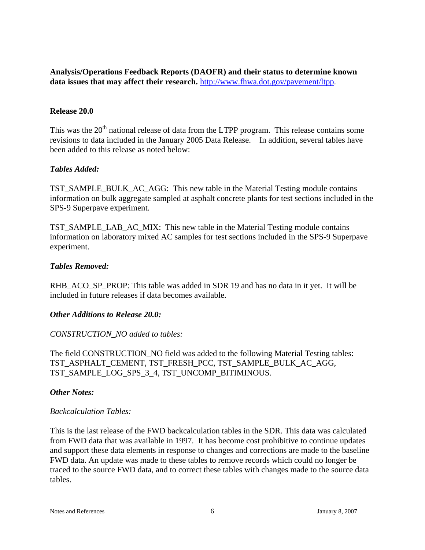**Analysis/Operations Feedback Reports (DAOFR) and their status to determine known data issues that may affect their research.** http://www.fhwa.dot.gov/pavement/ltpp.

#### **Release 20.0**

This was the  $20<sup>th</sup>$  national release of data from the LTPP program. This release contains some revisions to data included in the January 2005 Data Release. In addition, several tables have been added to this release as noted below:

#### *Tables Added:*

TST\_SAMPLE\_BULK\_AC\_AGG: This new table in the Material Testing module contains information on bulk aggregate sampled at asphalt concrete plants for test sections included in the SPS-9 Superpave experiment.

TST\_SAMPLE\_LAB\_AC\_MIX: This new table in the Material Testing module contains information on laboratory mixed AC samples for test sections included in the SPS-9 Superpave experiment.

#### *Tables Removed:*

RHB\_ACO\_SP\_PROP: This table was added in SDR 19 and has no data in it yet. It will be included in future releases if data becomes available.

#### *Other Additions to Release 20.0:*

## *CONSTRUCTION\_NO added to tables:*

The field CONSTRUCTION\_NO field was added to the following Material Testing tables: TST\_ASPHALT\_CEMENT, TST\_FRESH\_PCC, TST\_SAMPLE\_BULK\_AC\_AGG, TST\_SAMPLE\_LOG\_SPS\_3\_4, TST\_UNCOMP\_BITIMINOUS.

#### *Other Notes:*

#### *Backcalculation Tables:*

This is the last release of the FWD backcalculation tables in the SDR. This data was calculated from FWD data that was available in 1997. It has become cost prohibitive to continue updates and support these data elements in response to changes and corrections are made to the baseline FWD data. An update was made to these tables to remove records which could no longer be traced to the source FWD data, and to correct these tables with changes made to the source data tables.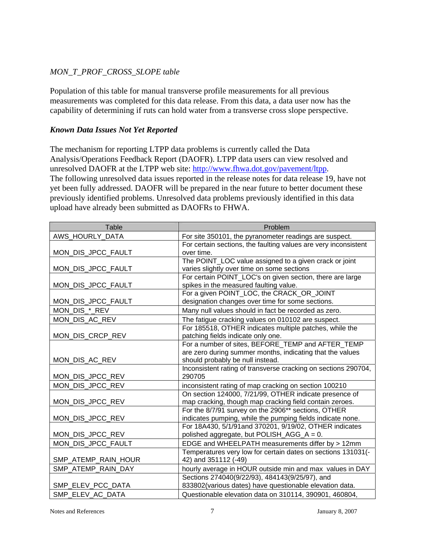# *MON\_T\_PROF\_CROSS\_SLOPE table*

Population of this table for manual transverse profile measurements for all previous measurements was completed for this data release. From this data, a data user now has the capability of determining if ruts can hold water from a transverse cross slope perspective.

### *Known Data Issues Not Yet Reported*

The mechanism for reporting LTPP data problems is currently called the Data Analysis/Operations Feedback Report (DAOFR). LTPP data users can view resolved and unresolved DAOFR at the LTPP web site: http://www.fhwa.dot.gov/pavement/ltpp. The following unresolved data issues reported in the release notes for data release 19, have not yet been fully addressed. DAOFR will be prepared in the near future to better document these previously identified problems. Unresolved data problems previously identified in this data upload have already been submitted as DAOFRs to FHWA.

| Table               | Problem                                                                                                                                            |
|---------------------|----------------------------------------------------------------------------------------------------------------------------------------------------|
| AWS_HOURLY_DATA     | For site 350101, the pyranometer readings are suspect.                                                                                             |
| MON_DIS_JPCC_FAULT  | For certain sections, the faulting values are very inconsistent<br>over time.                                                                      |
| MON_DIS_JPCC_FAULT  | The POINT_LOC value assigned to a given crack or joint<br>varies slightly over time on some sections                                               |
| MON_DIS_JPCC_FAULT  | For certain POINT_LOC's on given section, there are large<br>spikes in the measured faulting value.                                                |
| MON_DIS_JPCC_FAULT  | For a given POINT LOC, the CRACK OR JOINT<br>designation changes over time for some sections.                                                      |
| MON_DIS_*_REV       | Many null values should in fact be recorded as zero.                                                                                               |
| MON_DIS_AC_REV      | The fatigue cracking values on 010102 are suspect.                                                                                                 |
| MON_DIS_CRCP_REV    | For 185518, OTHER indicates multiple patches, while the<br>patching fields indicate only one.                                                      |
| MON_DIS_AC_REV      | For a number of sites, BEFORE_TEMP and AFTER_TEMP<br>are zero during summer months, indicating that the values<br>should probably be null instead. |
| MON_DIS_JPCC_REV    | Inconsistent rating of transverse cracking on sections 290704,<br>290705                                                                           |
| MON_DIS_JPCC_REV    | inconsistent rating of map cracking on section 100210                                                                                              |
| MON_DIS_JPCC_REV    | On section 124000, 7/21/99, OTHER indicate presence of<br>map cracking, though map cracking field contain zeroes.                                  |
| MON_DIS_JPCC_REV    | For the 8/7/91 survey on the 2906** sections, OTHER<br>indicates pumping, while the pumping fields indicate none.                                  |
| MON_DIS_JPCC_REV    | For 18A430, 5/1/91and 370201, 9/19/02, OTHER indicates<br>polished aggregate, but POLISH_AGG_A = 0.                                                |
| MON_DIS_JPCC_FAULT  | EDGE and WHEELPATH measurements differ by > 12mm                                                                                                   |
| SMP_ATEMP_RAIN_HOUR | Temperatures very low for certain dates on sections 131031(-<br>42) and 351112 (-49)                                                               |
| SMP_ATEMP_RAIN_DAY  | hourly average in HOUR outside min and max values in DAY                                                                                           |
| SMP ELEV PCC DATA   | Sections 274040(9/22/93), 484143(9/25/97), and<br>833802(various dates) have questionable elevation data.                                          |
| SMP ELEV AC DATA    | Questionable elevation data on 310114, 390901, 460804,                                                                                             |

Notes and References **7** January 8, 2007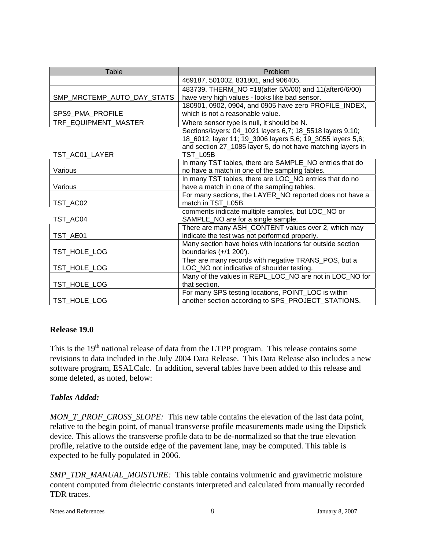| Table                      | Problem                                                                                                                                                                                            |
|----------------------------|----------------------------------------------------------------------------------------------------------------------------------------------------------------------------------------------------|
|                            | 469187, 501002, 831801, and 906405.                                                                                                                                                                |
| SMP_MRCTEMP_AUTO_DAY_STATS | 483739, THERM_NO = 18(after 5/6/00) and 11(after6/6/00)<br>have very high values - looks like bad sensor.                                                                                          |
| SPS9_PMA_PROFILE           | 180901, 0902, 0904, and 0905 have zero PROFILE_INDEX,<br>which is not a reasonable value.                                                                                                          |
| TRF_EQUIPMENT_MASTER       | Where sensor type is null, it should be N.                                                                                                                                                         |
| TST AC01 LAYER             | Sections/layers: 04_1021 layers 6,7; 18_5518 layers 9,10;<br>18_6012, layer 11; 19_3006 layers 5,6; 19_3055 layers 5,6;<br>and section 27_1085 layer 5, do not have matching layers in<br>TST L05B |
|                            | In many TST tables, there are SAMPLE_NO entries that do                                                                                                                                            |
| Various                    | no have a match in one of the sampling tables.                                                                                                                                                     |
|                            | In many TST tables, there are LOC_NO entries that do no                                                                                                                                            |
| Various                    | have a match in one of the sampling tables.                                                                                                                                                        |
| TST_AC02                   | For many sections, the LAYER_NO reported does not have a<br>match in TST_L05B.                                                                                                                     |
| TST_AC04                   | comments indicate multiple samples, but LOC_NO or<br>SAMPLE_NO are for a single sample.                                                                                                            |
| TST AE01                   | There are many ASH_CONTENT values over 2, which may<br>indicate the test was not performed properly.                                                                                               |
| TST_HOLE_LOG               | Many section have holes with locations far outside section<br>boundaries $(+/1 200')$ .                                                                                                            |
| TST_HOLE_LOG               | Ther are many records with negative TRANS_POS, but a<br>LOC_NO not indicative of shoulder testing.                                                                                                 |
| TST_HOLE_LOG               | Many of the values in REPL_LOC_NO are not in LOC_NO for<br>that section.                                                                                                                           |
| TST_HOLE_LOG               | For many SPS testing locations, POINT_LOC is within<br>another section according to SPS_PROJECT_STATIONS.                                                                                          |

## **Release 19.0**

This is the 19<sup>th</sup> national release of data from the LTPP program. This release contains some revisions to data included in the July 2004 Data Release. This Data Release also includes a new software program, ESALCalc. In addition, several tables have been added to this release and some deleted, as noted, below:

## *Tables Added:*

*MON\_T\_PROF\_CROSS\_SLOPE:* This new table contains the elevation of the last data point, relative to the begin point, of manual transverse profile measurements made using the Dipstick device. This allows the transverse profile data to be de-normalized so that the true elevation profile, relative to the outside edge of the pavement lane, may be computed. This table is expected to be fully populated in 2006.

*SMP\_TDR\_MANUAL\_MOISTURE:* This table contains volumetric and gravimetric moisture content computed from dielectric constants interpreted and calculated from manually recorded TDR traces.

Notes and References and References and References and References and References and References and References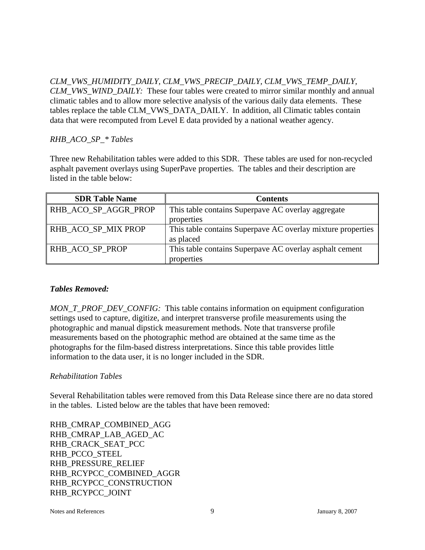*CLM\_VWS\_HUMIDITY\_DAILY, CLM\_VWS\_PRECIP\_DAILY, CLM\_VWS\_TEMP\_DAILY, CLM\_VWS\_WIND\_DAILY:* These four tables were created to mirror similar monthly and annual climatic tables and to allow more selective analysis of the various daily data elements. These tables replace the table CLM\_VWS\_DATA\_DAILY. In addition, all Climatic tables contain data that were recomputed from Level E data provided by a national weather agency.

#### *RHB\_ACO\_SP\_\* Tables*

Three new Rehabilitation tables were added to this SDR. These tables are used for non-recycled asphalt pavement overlays using SuperPave properties. The tables and their description are listed in the table below:

| <b>SDR Table Name</b> | <b>Contents</b>                                             |
|-----------------------|-------------------------------------------------------------|
| RHB_ACO_SP_AGGR_PROP  | This table contains Superpave AC overlay aggregate          |
|                       | properties                                                  |
| RHB_ACO_SP_MIX PROP   | This table contains Superpave AC overlay mixture properties |
|                       | as placed                                                   |
| RHB ACO SP PROP       | This table contains Superpave AC overlay asphalt cement     |
|                       | properties                                                  |

#### *Tables Removed:*

*MON\_T\_PROF\_DEV\_CONFIG:* This table contains information on equipment configuration settings used to capture, digitize, and interpret transverse profile measurements using the photographic and manual dipstick measurement methods. Note that transverse profile measurements based on the photographic method are obtained at the same time as the photographs for the film-based distress interpretations. Since this table provides little information to the data user, it is no longer included in the SDR.

## *Rehabilitation Tables*

Several Rehabilitation tables were removed from this Data Release since there are no data stored in the tables. Listed below are the tables that have been removed:

RHB\_CMRAP\_COMBINED\_AGG RHB\_CMRAP\_LAB\_AGED\_AC RHB\_CRACK\_SEAT\_PCC RHB\_PCCO\_STEEL RHB\_PRESSURE\_RELIEF RHB\_RCYPCC\_COMBINED\_AGGR RHB\_RCYPCC\_CONSTRUCTION RHB\_RCYPCC\_JOINT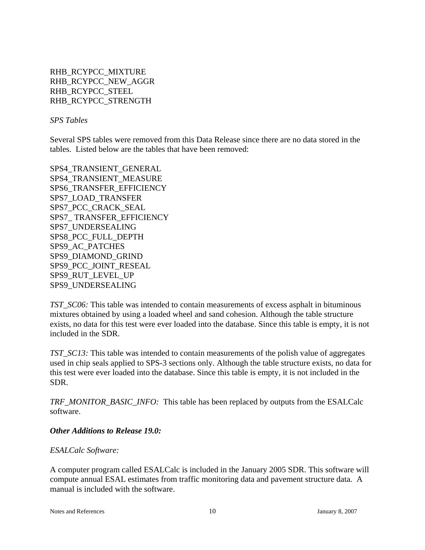RHB\_RCYPCC\_MIXTURE RHB\_RCYPCC\_NEW\_AGGR RHB\_RCYPCC\_STEEL RHB\_RCYPCC\_STRENGTH

*SPS Tables*

Several SPS tables were removed from this Data Release since there are no data stored in the tables. Listed below are the tables that have been removed:

SPS4\_TRANSIENT\_GENERAL SPS4\_TRANSIENT\_MEASURE SPS6\_TRANSFER\_EFFICIENCY SPS7\_LOAD\_TRANSFER SPS7\_PCC\_CRACK\_SEAL SPS7\_ TRANSFER\_EFFICIENCY SPS7\_UNDERSEALING SPS8\_PCC\_FULL\_DEPTH SPS9\_AC\_PATCHES SPS9\_DIAMOND\_GRIND SPS9\_PCC\_JOINT\_RESEAL SPS9\_RUT\_LEVEL\_UP SPS9\_UNDERSEALING

*TST\_SC06:* This table was intended to contain measurements of excess asphalt in bituminous mixtures obtained by using a loaded wheel and sand cohesion. Although the table structure exists, no data for this test were ever loaded into the database. Since this table is empty, it is not included in the SDR.

*TST\_SC13:* This table was intended to contain measurements of the polish value of aggregates used in chip seals applied to SPS-3 sections only. Although the table structure exists, no data for this test were ever loaded into the database. Since this table is empty, it is not included in the SDR.

*TRF\_MONITOR\_BASIC\_INFO:* This table has been replaced by outputs from the ESALCalc software.

#### *Other Additions to Release 19.0:*

#### *ESALCalc Software:*

A computer program called ESALCalc is included in the January 2005 SDR. This software will compute annual ESAL estimates from traffic monitoring data and pavement structure data. A manual is included with the software.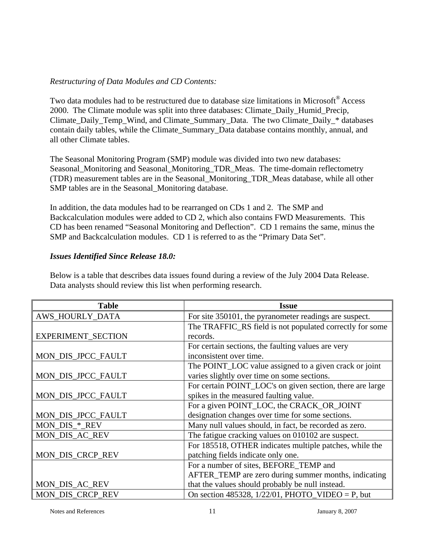## *Restructuring of Data Modules and CD Contents:*

Two data modules had to be restructured due to database size limitations in Microsoft<sup>®</sup> Access 2000. The Climate module was split into three databases: Climate\_Daily\_Humid\_Precip, Climate Daily Temp\_Wind, and Climate Summary Data. The two Climate Daily \* databases contain daily tables, while the Climate\_Summary\_Data database contains monthly, annual, and all other Climate tables.

The Seasonal Monitoring Program (SMP) module was divided into two new databases: Seasonal\_Monitoring and Seasonal\_Monitoring\_TDR\_Meas. The time-domain reflectometry (TDR) measurement tables are in the Seasonal\_Monitoring\_TDR\_Meas database, while all other SMP tables are in the Seasonal\_Monitoring database.

In addition, the data modules had to be rearranged on CDs 1 and 2. The SMP and Backcalculation modules were added to CD 2, which also contains FWD Measurements. This CD has been renamed "Seasonal Monitoring and Deflection". CD 1 remains the same, minus the SMP and Backcalculation modules. CD 1 is referred to as the "Primary Data Set".

#### *Issues Identified Since Release 18.0:*

Below is a table that describes data issues found during a review of the July 2004 Data Release. Data analysts should review this list when performing research.

| <b>Table</b>              | <b>Issue</b>                                              |
|---------------------------|-----------------------------------------------------------|
| <b>AWS_HOURLY_DATA</b>    | For site 350101, the pyranometer readings are suspect.    |
|                           | The TRAFFIC_RS field is not populated correctly for some  |
| <b>EXPERIMENT_SECTION</b> | records.                                                  |
|                           | For certain sections, the faulting values are very        |
| MON_DIS_JPCC_FAULT        | inconsistent over time.                                   |
|                           | The POINT_LOC value assigned to a given crack or joint    |
| MON_DIS_JPCC_FAULT        | varies slightly over time on some sections.               |
|                           | For certain POINT_LOC's on given section, there are large |
| MON_DIS_JPCC_FAULT        | spikes in the measured faulting value.                    |
|                           | For a given POINT_LOC, the CRACK_OR_JOINT                 |
| MON_DIS_JPCC_FAULT        | designation changes over time for some sections.          |
| MON_DIS_*_REV             | Many null values should, in fact, be recorded as zero.    |
| <b>MON_DIS_AC_REV</b>     | The fatigue cracking values on 010102 are suspect.        |
|                           | For 185518, OTHER indicates multiple patches, while the   |
| MON_DIS_CRCP_REV          | patching fields indicate only one.                        |
|                           | For a number of sites, BEFORE TEMP and                    |
|                           | AFTER_TEMP are zero during summer months, indicating      |
| <b>MON_DIS_AC_REV</b>     | that the values should probably be null instead.          |
| MON_DIS_CRCP_REV          | On section 485328, $1/22/01$ , PHOTO_VIDEO = P, but       |

Notes and References 11 January 8, 2007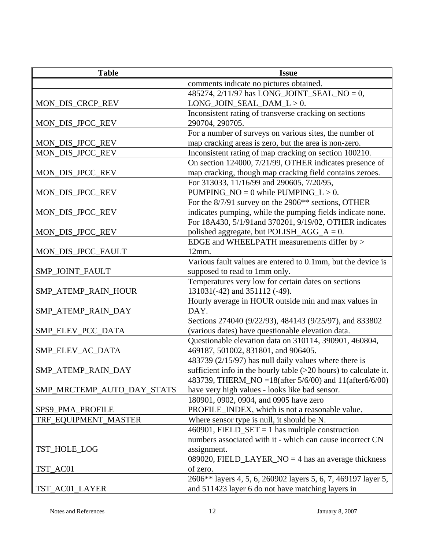| <b>Table</b>               | <b>Issue</b>                                                                          |
|----------------------------|---------------------------------------------------------------------------------------|
|                            | comments indicate no pictures obtained.                                               |
|                            | 485274, 2/11/97 has LONG_JOINT_SEAL_NO = 0,                                           |
| MON_DIS_CRCP_REV           | $LONG_JOIN_SEAL_DAM_L > 0.$                                                           |
|                            | Inconsistent rating of transverse cracking on sections                                |
| MON_DIS_JPCC_REV           | 290704, 290705.                                                                       |
|                            | For a number of surveys on various sites, the number of                               |
| MON_DIS_JPCC_REV           | map cracking areas is zero, but the area is non-zero.                                 |
| MON_DIS_JPCC_REV           | Inconsistent rating of map cracking on section 100210.                                |
|                            | On section 124000, 7/21/99, OTHER indicates presence of                               |
| MON_DIS_JPCC_REV           | map cracking, though map cracking field contains zeroes.                              |
|                            | For 313033, 11/16/99 and 290605, 7/20/95,                                             |
| MON_DIS_JPCC_REV           | PUMPING_NO = $0$ while PUMPING_L > 0.                                                 |
|                            | For the 8/7/91 survey on the 2906 <sup>**</sup> sections, OTHER                       |
| MON_DIS_JPCC_REV           | indicates pumping, while the pumping fields indicate none.                            |
|                            | For 18A430, 5/1/91and 370201, 9/19/02, OTHER indicates                                |
| MON_DIS_JPCC_REV           | polished aggregate, but POLISH_AGG_A = $0$ .                                          |
|                            | EDGE and WHEELPATH measurements differ by >                                           |
| MON_DIS_JPCC_FAULT         | 12mm.                                                                                 |
|                            | Various fault values are entered to 0.1mm, but the device is                          |
| SMP_JOINT_FAULT            | supposed to read to 1mm only.                                                         |
|                            | Temperatures very low for certain dates on sections                                   |
| SMP_ATEMP_RAIN_HOUR        | 131031(-42) and 351112 (-49).<br>Hourly average in HOUR outside min and max values in |
| SMP_ATEMP_RAIN_DAY         | DAY.                                                                                  |
|                            | Sections 274040 (9/22/93), 484143 (9/25/97), and 833802                               |
| SMP_ELEV_PCC_DATA          | (various dates) have questionable elevation data.                                     |
|                            | Questionable elevation data on 310114, 390901, 460804,                                |
| SMP_ELEV_AC_DATA           | 469187, 501002, 831801, and 906405.                                                   |
|                            | 483739 (2/15/97) has null daily values where there is                                 |
| SMP_ATEMP_RAIN_DAY         | sufficient info in the hourly table $(>20$ hours) to calculate it.                    |
|                            | 483739, THERM_NO = 18(after 5/6/00) and 11(after6/6/00)                               |
| SMP_MRCTEMP_AUTO_DAY_STATS | have very high values - looks like bad sensor.                                        |
|                            | 180901, 0902, 0904, and 0905 have zero                                                |
| SPS9_PMA_PROFILE           | PROFILE_INDEX, which is not a reasonable value.                                       |
| TRF_EQUIPMENT_MASTER       | Where sensor type is null, it should be N.                                            |
|                            | 460901, FIELD_SET = 1 has multiple construction                                       |
|                            | numbers associated with it - which can cause incorrect CN                             |
| TST_HOLE_LOG               | assignment.                                                                           |
|                            | 089020, FIELD LAYER $NO = 4$ has an average thickness                                 |
| TST_AC01                   | of zero.                                                                              |
|                            | 2606** layers 4, 5, 6, 260902 layers 5, 6, 7, 469197 layer 5,                         |
| TST_AC01_LAYER             | and 511423 layer 6 do not have matching layers in                                     |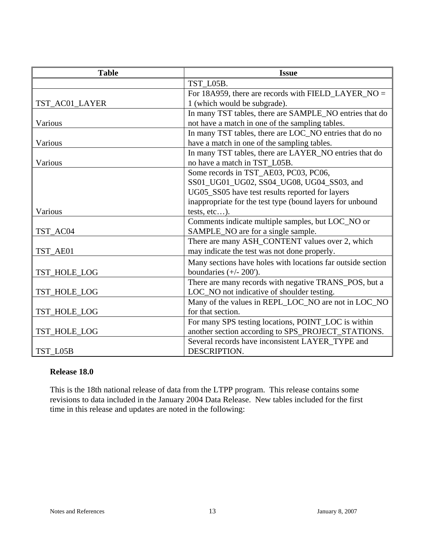| <b>Table</b>   | <b>Issue</b>                                                |
|----------------|-------------------------------------------------------------|
|                | TST_L05B.                                                   |
|                | For 18A959, there are records with FIELD_LAYER_NO =         |
| TST_AC01_LAYER | 1 (which would be subgrade).                                |
|                | In many TST tables, there are SAMPLE_NO entries that do     |
| Various        | not have a match in one of the sampling tables.             |
|                | In many TST tables, there are LOC_NO entries that do no     |
| Various        | have a match in one of the sampling tables.                 |
|                | In many TST tables, there are LAYER_NO entries that do      |
| Various        | no have a match in TST_L05B.                                |
|                | Some records in TST_AE03, PC03, PC06,                       |
|                | SS01_UG01_UG02, SS04_UG08, UG04_SS03, and                   |
|                | UG05_SS05 have test results reported for layers             |
|                | inappropriate for the test type (bound layers for unbound   |
| Various        | tests, etc).                                                |
|                | Comments indicate multiple samples, but LOC_NO or           |
| TST_AC04       | SAMPLE_NO are for a single sample.                          |
|                | There are many ASH_CONTENT values over 2, which             |
| TST_AE01       | may indicate the test was not done properly.                |
|                | Many sections have holes with locations far outside section |
| TST HOLE LOG   | boundaries $(+/- 200')$ .                                   |
|                | There are many records with negative TRANS_POS, but a       |
| TST_HOLE_LOG   | LOC_NO not indicative of shoulder testing.                  |
|                | Many of the values in REPL_LOC_NO are not in LOC_NO         |
| TST_HOLE_LOG   | for that section.                                           |
|                | For many SPS testing locations, POINT_LOC is within         |
| TST_HOLE_LOG   | another section according to SPS_PROJECT_STATIONS.          |
|                | Several records have inconsistent LAYER_TYPE and            |
| TST L05B       | DESCRIPTION.                                                |

#### **Release 18.0**

This is the 18th national release of data from the LTPP program. This release contains some revisions to data included in the January 2004 Data Release. New tables included for the first time in this release and updates are noted in the following: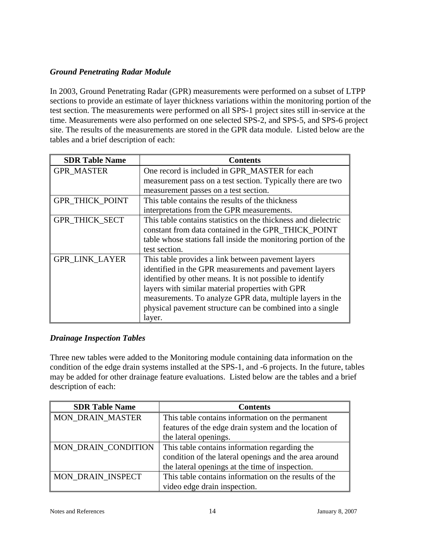## *Ground Penetrating Radar Module*

In 2003, Ground Penetrating Radar (GPR) measurements were performed on a subset of LTPP sections to provide an estimate of layer thickness variations within the monitoring portion of the test section. The measurements were performed on all SPS-1 project sites still in-service at the time. Measurements were also performed on one selected SPS-2, and SPS-5, and SPS-6 project site. The results of the measurements are stored in the GPR data module. Listed below are the tables and a brief description of each:

| <b>SDR Table Name</b>  | <b>Contents</b>                                                |
|------------------------|----------------------------------------------------------------|
| <b>GPR MASTER</b>      | One record is included in GPR_MASTER for each                  |
|                        | measurement pass on a test section. Typically there are two    |
|                        | measurement passes on a test section.                          |
| <b>GPR_THICK_POINT</b> | This table contains the results of the thickness               |
|                        | interpretations from the GPR measurements.                     |
| GPR_THICK_SECT         | This table contains statistics on the thickness and dielectric |
|                        | constant from data contained in the GPR_THICK_POINT            |
|                        | table whose stations fall inside the monitoring portion of the |
|                        | test section.                                                  |
| <b>GPR_LINK_LAYER</b>  | This table provides a link between pavement layers             |
|                        | identified in the GPR measurements and pavement layers         |
|                        | identified by other means. It is not possible to identify      |
|                        | layers with similar material properties with GPR               |
|                        | measurements. To analyze GPR data, multiple layers in the      |
|                        | physical pavement structure can be combined into a single      |
|                        | layer.                                                         |

## *Drainage Inspection Tables*

Three new tables were added to the Monitoring module containing data information on the condition of the edge drain systems installed at the SPS-1, and -6 projects. In the future, tables may be added for other drainage feature evaluations. Listed below are the tables and a brief description of each:

| <b>SDR Table Name</b>   | <b>Contents</b>                                       |
|-------------------------|-------------------------------------------------------|
| <b>MON DRAIN MASTER</b> | This table contains information on the permanent      |
|                         | features of the edge drain system and the location of |
|                         | the lateral openings.                                 |
| MON DRAIN CONDITION     | This table contains information regarding the         |
|                         | condition of the lateral openings and the area around |
|                         | the lateral openings at the time of inspection.       |
| MON DRAIN INSPECT       | This table contains information on the results of the |
|                         | video edge drain inspection.                          |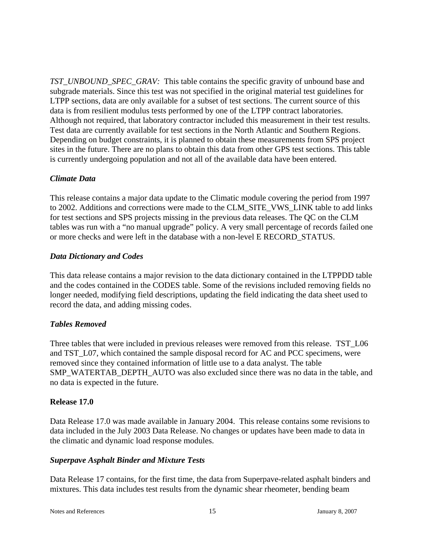*TST\_UNBOUND\_SPEC\_GRAV:* This table contains the specific gravity of unbound base and subgrade materials. Since this test was not specified in the original material test guidelines for LTPP sections, data are only available for a subset of test sections. The current source of this data is from resilient modulus tests performed by one of the LTPP contract laboratories. Although not required, that laboratory contractor included this measurement in their test results. Test data are currently available for test sections in the North Atlantic and Southern Regions. Depending on budget constraints, it is planned to obtain these measurements from SPS project sites in the future. There are no plans to obtain this data from other GPS test sections. This table is currently undergoing population and not all of the available data have been entered.

#### *Climate Data*

This release contains a major data update to the Climatic module covering the period from 1997 to 2002. Additions and corrections were made to the CLM\_SITE\_VWS\_LINK table to add links for test sections and SPS projects missing in the previous data releases. The QC on the CLM tables was run with a "no manual upgrade" policy. A very small percentage of records failed one or more checks and were left in the database with a non-level E RECORD\_STATUS.

#### *Data Dictionary and Codes*

This data release contains a major revision to the data dictionary contained in the LTPPDD table and the codes contained in the CODES table. Some of the revisions included removing fields no longer needed, modifying field descriptions, updating the field indicating the data sheet used to record the data, and adding missing codes.

## *Tables Removed*

Three tables that were included in previous releases were removed from this release. TST\_L06 and TST L07, which contained the sample disposal record for AC and PCC specimens, were removed since they contained information of little use to a data analyst. The table SMP\_WATERTAB\_DEPTH\_AUTO was also excluded since there was no data in the table, and no data is expected in the future.

#### **Release 17.0**

Data Release 17.0 was made available in January 2004. This release contains some revisions to data included in the July 2003 Data Release. No changes or updates have been made to data in the climatic and dynamic load response modules.

#### *Superpave Asphalt Binder and Mixture Tests*

Data Release 17 contains, for the first time, the data from Superpave-related asphalt binders and mixtures. This data includes test results from the dynamic shear rheometer, bending beam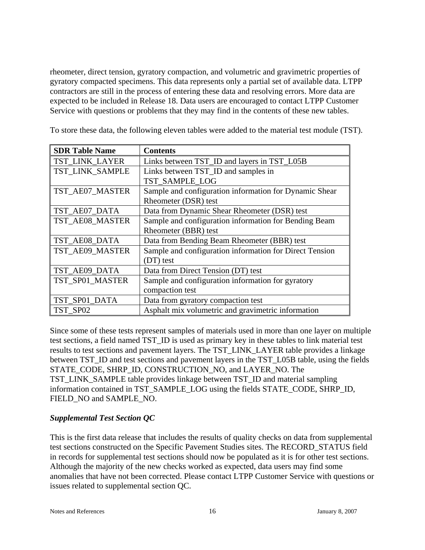rheometer, direct tension, gyratory compaction, and volumetric and gravimetric properties of gyratory compacted specimens. This data represents only a partial set of available data. LTPP contractors are still in the process of entering these data and resolving errors. More data are expected to be included in Release 18. Data users are encouraged to contact LTPP Customer Service with questions or problems that they may find in the contents of these new tables.

To store these data, the following eleven tables were added to the material test module (TST).

| <b>SDR Table Name</b> | <b>Contents</b>                                         |
|-----------------------|---------------------------------------------------------|
| TST LINK LAYER        | Links between TST_ID and layers in TST_L05B             |
| TST_LINK_SAMPLE       | Links between TST_ID and samples in                     |
|                       | TST SAMPLE LOG                                          |
| TST_AE07_MASTER       | Sample and configuration information for Dynamic Shear  |
|                       | Rheometer (DSR) test                                    |
| TST_AE07_DATA         | Data from Dynamic Shear Rheometer (DSR) test            |
| TST_AE08_MASTER       | Sample and configuration information for Bending Beam   |
|                       | Rheometer (BBR) test                                    |
| TST_AE08_DATA         | Data from Bending Beam Rheometer (BBR) test             |
| TST_AE09_MASTER       | Sample and configuration information for Direct Tension |
|                       | (DT) test                                               |
| TST_AE09_DATA         | Data from Direct Tension (DT) test                      |
| TST_SP01_MASTER       | Sample and configuration information for gyratory       |
|                       | compaction test                                         |
| TST_SP01_DATA         | Data from gyratory compaction test                      |
| TST SP02              | Asphalt mix volumetric and gravimetric information      |

Since some of these tests represent samples of materials used in more than one layer on multiple test sections, a field named TST\_ID is used as primary key in these tables to link material test results to test sections and pavement layers. The TST\_LINK\_LAYER table provides a linkage between TST\_ID and test sections and pavement layers in the TST\_L05B table, using the fields STATE\_CODE, SHRP\_ID, CONSTRUCTION\_NO, and LAYER\_NO. The TST\_LINK\_SAMPLE table provides linkage between TST\_ID and material sampling information contained in TST\_SAMPLE\_LOG using the fields STATE\_CODE, SHRP\_ID, FIELD\_NO and SAMPLE\_NO.

## *Supplemental Test Section QC*

This is the first data release that includes the results of quality checks on data from supplemental test sections constructed on the Specific Pavement Studies sites. The RECORD\_STATUS field in records for supplemental test sections should now be populated as it is for other test sections. Although the majority of the new checks worked as expected, data users may find some anomalies that have not been corrected. Please contact LTPP Customer Service with questions or issues related to supplemental section QC.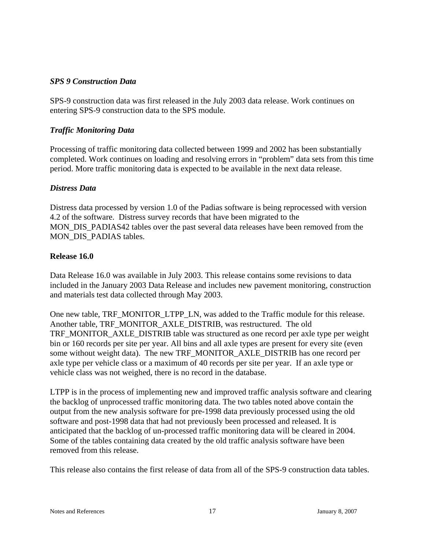#### *SPS 9 Construction Data*

SPS-9 construction data was first released in the July 2003 data release. Work continues on entering SPS-9 construction data to the SPS module.

#### *Traffic Monitoring Data*

Processing of traffic monitoring data collected between 1999 and 2002 has been substantially completed. Work continues on loading and resolving errors in "problem" data sets from this time period. More traffic monitoring data is expected to be available in the next data release.

#### *Distress Data*

Distress data processed by version 1.0 of the Padias software is being reprocessed with version 4.2 of the software. Distress survey records that have been migrated to the MON\_DIS\_PADIAS42 tables over the past several data releases have been removed from the MON\_DIS\_PADIAS tables.

#### **Release 16.0**

Data Release 16.0 was available in July 2003. This release contains some revisions to data included in the January 2003 Data Release and includes new pavement monitoring, construction and materials test data collected through May 2003.

One new table, TRF\_MONITOR\_LTPP\_LN, was added to the Traffic module for this release. Another table, TRF\_MONITOR\_AXLE\_DISTRIB, was restructured. The old TRF\_MONITOR\_AXLE\_DISTRIB table was structured as one record per axle type per weight bin or 160 records per site per year. All bins and all axle types are present for every site (even some without weight data). The new TRF\_MONITOR\_AXLE\_DISTRIB has one record per axle type per vehicle class or a maximum of 40 records per site per year. If an axle type or vehicle class was not weighed, there is no record in the database.

LTPP is in the process of implementing new and improved traffic analysis software and clearing the backlog of unprocessed traffic monitoring data. The two tables noted above contain the output from the new analysis software for pre-1998 data previously processed using the old software and post-1998 data that had not previously been processed and released. It is anticipated that the backlog of un-processed traffic monitoring data will be cleared in 2004. Some of the tables containing data created by the old traffic analysis software have been removed from this release.

This release also contains the first release of data from all of the SPS-9 construction data tables.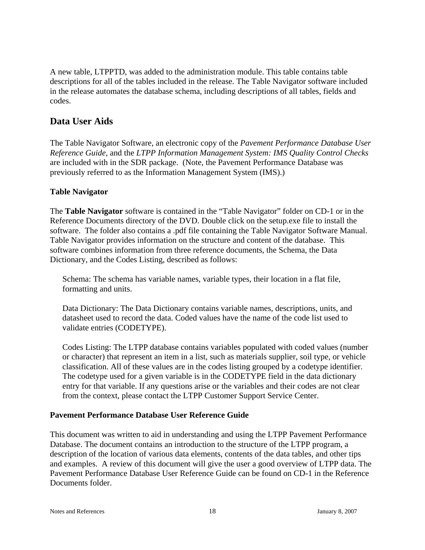A new table, LTPPTD, was added to the administration module. This table contains table descriptions for all of the tables included in the release. The Table Navigator software included in the release automates the database schema, including descriptions of all tables, fields and codes.

# **Data User Aids**

The Table Navigator Software, an electronic copy of the *Pavement Performance Database User Reference Guide,* and the *LTPP Information Management System: IMS Quality Control Checks* are included with in the SDR package. (Note, the Pavement Performance Database was previously referred to as the Information Management System (IMS).)

## **Table Navigator**

The **Table Navigator** software is contained in the "Table Navigator" folder on CD-1 or in the Reference Documents directory of the DVD. Double click on the setup.exe file to install the software. The folder also contains a .pdf file containing the Table Navigator Software Manual. Table Navigator provides information on the structure and content of the database. This software combines information from three reference documents, the Schema, the Data Dictionary, and the Codes Listing, described as follows:

Schema: The schema has variable names, variable types, their location in a flat file, formatting and units.

Data Dictionary: The Data Dictionary contains variable names, descriptions, units, and datasheet used to record the data. Coded values have the name of the code list used to validate entries (CODETYPE).

Codes Listing: The LTPP database contains variables populated with coded values (number or character) that represent an item in a list, such as materials supplier, soil type, or vehicle classification. All of these values are in the codes listing grouped by a codetype identifier. The codetype used for a given variable is in the CODETYPE field in the data dictionary entry for that variable. If any questions arise or the variables and their codes are not clear from the context, please contact the LTPP Customer Support Service Center.

## **Pavement Performance Database User Reference Guide**

This document was written to aid in understanding and using the LTPP Pavement Performance Database. The document contains an introduction to the structure of the LTPP program, a description of the location of various data elements, contents of the data tables, and other tips and examples. A review of this document will give the user a good overview of LTPP data. The Pavement Performance Database User Reference Guide can be found on CD-1 in the Reference Documents folder.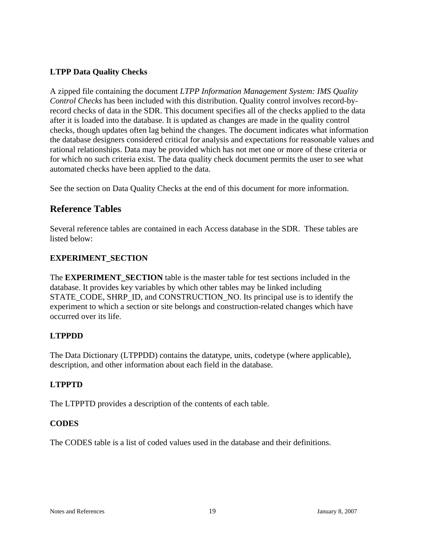## **LTPP Data Quality Checks**

A zipped file containing the document *LTPP Information Management System: IMS Quality Control Checks* has been included with this distribution. Quality control involves record-byrecord checks of data in the SDR. This document specifies all of the checks applied to the data after it is loaded into the database. It is updated as changes are made in the quality control checks, though updates often lag behind the changes. The document indicates what information the database designers considered critical for analysis and expectations for reasonable values and rational relationships. Data may be provided which has not met one or more of these criteria or for which no such criteria exist. The data quality check document permits the user to see what automated checks have been applied to the data.

See the section on Data Quality Checks at the end of this document for more information.

# **Reference Tables**

Several reference tables are contained in each Access database in the SDR. These tables are listed below:

## **EXPERIMENT\_SECTION**

The **EXPERIMENT\_SECTION** table is the master table for test sections included in the database. It provides key variables by which other tables may be linked including STATE\_CODE, SHRP\_ID, and CONSTRUCTION\_NO. Its principal use is to identify the experiment to which a section or site belongs and construction-related changes which have occurred over its life.

## **LTPPDD**

The Data Dictionary (LTPPDD) contains the datatype, units, codetype (where applicable), description, and other information about each field in the database.

## **LTPPTD**

The LTPPTD provides a description of the contents of each table.

## **CODES**

The CODES table is a list of coded values used in the database and their definitions.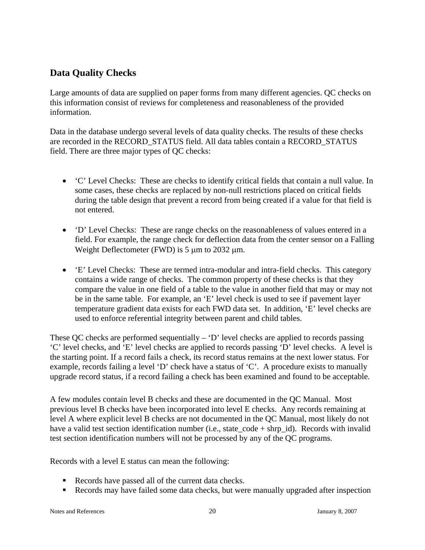# **Data Quality Checks**

Large amounts of data are supplied on paper forms from many different agencies. QC checks on this information consist of reviews for completeness and reasonableness of the provided information.

Data in the database undergo several levels of data quality checks. The results of these checks are recorded in the RECORD\_STATUS field. All data tables contain a RECORD\_STATUS field. There are three major types of QC checks:

- 'C' Level Checks: These are checks to identify critical fields that contain a null value. In some cases, these checks are replaced by non-null restrictions placed on critical fields during the table design that prevent a record from being created if a value for that field is not entered.
- 'D' Level Checks: These are range checks on the reasonableness of values entered in a field. For example, the range check for deflection data from the center sensor on a Falling Weight Deflectometer (FWD) is 5  $\mu$ m to 2032  $\mu$ m.
- 'E' Level Checks: These are termed intra-modular and intra-field checks. This category contains a wide range of checks. The common property of these checks is that they compare the value in one field of a table to the value in another field that may or may not be in the same table. For example, an 'E' level check is used to see if pavement layer temperature gradient data exists for each FWD data set. In addition, 'E' level checks are used to enforce referential integrity between parent and child tables.

These QC checks are performed sequentially  $D'$  level checks are applied to records passing 'C' level checks, and 'E' level checks are applied to records passing 'D' level checks. A level is the starting point. If a record fails a check, its record status remains at the next lower status. For example, records failing a level 'D' check have a status of 'C'. A procedure exists to manually upgrade record status, if a record failing a check has been examined and found to be acceptable.

A few modules contain level B checks and these are documented in the QC Manual. Most previous level B checks have been incorporated into level E checks. Any records remaining at level A where explicit level B checks are not documented in the QC Manual, most likely do not have a valid test section identification number (i.e., state  $\text{code} + \text{shrp}$  id). Records with invalid test section identification numbers will not be processed by any of the QC programs.

Records with a level E status can mean the following:

- Records have passed all of the current data checks.
- Records may have failed some data checks, but were manually upgraded after inspection